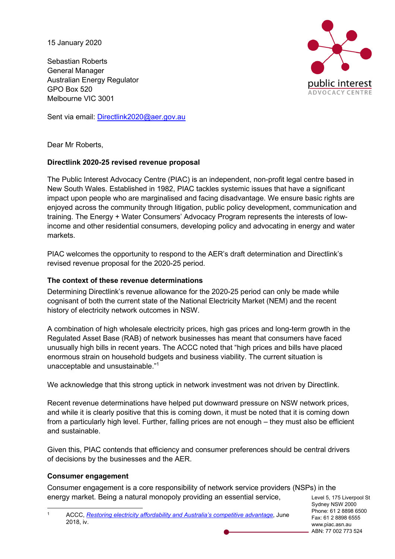15 January 2020

Sebastian Roberts General Manager Australian Energy Regulator GPO Box 520 Melbourne VIC 3001

Sent via email: Directlink2020@aer.gov.au



Dear Mr Roberts,

## **Directlink 2020-25 revised revenue proposal**

The Public Interest Advocacy Centre (PIAC) is an independent, non-profit legal centre based in New South Wales. Established in 1982, PIAC tackles systemic issues that have a significant impact upon people who are marginalised and facing disadvantage. We ensure basic rights are enjoyed across the community through litigation, public policy development, communication and training. The Energy + Water Consumers' Advocacy Program represents the interests of lowincome and other residential consumers, developing policy and advocating in energy and water markets.

PIAC welcomes the opportunity to respond to the AER's draft determination and Directlink's revised revenue proposal for the 2020-25 period.

### **The context of these revenue determinations**

Determining Directlink's revenue allowance for the 2020-25 period can only be made while cognisant of both the current state of the National Electricity Market (NEM) and the recent history of electricity network outcomes in NSW.

A combination of high wholesale electricity prices, high gas prices and long-term growth in the Regulated Asset Base (RAB) of network businesses has meant that consumers have faced unusually high bills in recent years. The ACCC noted that "high prices and bills have placed enormous strain on household budgets and business viability. The current situation is unacceptable and unsustainable."1

We acknowledge that this strong uptick in network investment was not driven by Directlink.

Recent revenue determinations have helped put downward pressure on NSW network prices, and while it is clearly positive that this is coming down, it must be noted that it is coming down from a particularly high level. Further, falling prices are not enough – they must also be efficient and sustainable.

Given this, PIAC contends that efficiency and consumer preferences should be central drivers of decisions by the businesses and the AER.

# **Consumer engagement**

Consumer engagement is a core responsibility of network service providers (NSPs) in the energy market. Being a natural monopoly providing an essential service,

Level 5, 175 Liverpool St Sydney NSW 2000 Phone: 61 2 8898 6500 Fax: 61 2 8898 6555 www.piac.asn.au ABN: 77 002 773 524

 <sup>1</sup> ACCC, *Restoring electricity affordability and Australia's competitive advantage*, June 2018, iv.